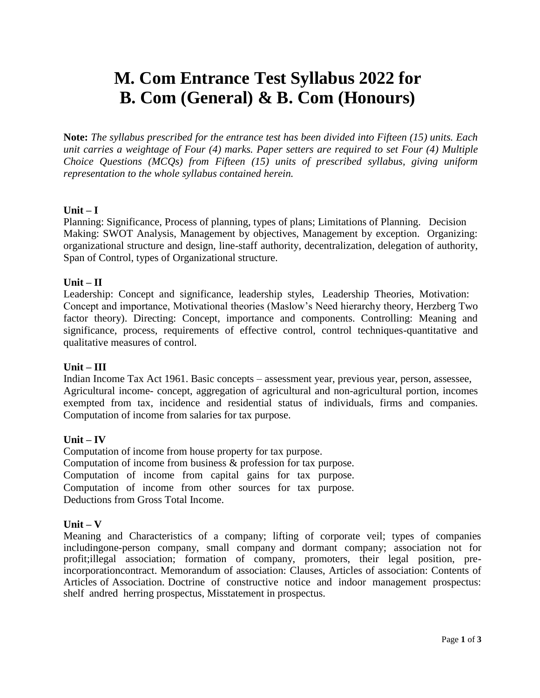# **M. Com Entrance Test Syllabus 2022 for B. Com (General) & B. Com (Honours)**

**Note:** *The syllabus prescribed for the entrance test has been divided into Fifteen (15) units. Each unit carries a weightage of Four (4) marks. Paper setters are required to set Four (4) Multiple Choice Questions (MCQs) from Fifteen (15) units of prescribed syllabus, giving uniform representation to the whole syllabus contained herein.*

#### **Unit – I**

Planning: Significance, Process of planning, types of plans; Limitations of Planning. Decision Making: SWOT Analysis, Management by objectives, Management by exception. Organizing: organizational structure and design, line-staff authority, decentralization, delegation of authority, Span of Control, types of Organizational structure.

#### **Unit – II**

Leadership: Concept and significance, leadership styles, Leadership Theories, Motivation: Concept and importance, Motivational theories (Maslow's Need hierarchy theory, Herzberg Two factor theory). Directing: Concept, importance and components. Controlling: Meaning and significance, process, requirements of effective control, control techniques-quantitative and qualitative measures of control.

#### **Unit – III**

Indian Income Tax Act 1961. Basic concepts – assessment year, previous year, person, assessee, Agricultural income- concept, aggregation of agricultural and non-agricultural portion, incomes exempted from tax, incidence and residential status of individuals, firms and companies. Computation of income from salaries for tax purpose.

#### **Unit – IV**

Computation of income from house property for tax purpose. Computation of income from business & profession for tax purpose. Computation of income from capital gains for tax purpose. Computation of income from other sources for tax purpose. Deductions from Gross Total Income.

#### **Unit – V**

Meaning and Characteristics of a company; lifting of corporate veil; types of companies includingone-person company, small company and dormant company; association not for profit;illegal association; formation of company, promoters, their legal position, preincorporationcontract. Memorandum of association: Clauses, Articles of association: Contents of Articles of Association. Doctrine of constructive notice and indoor management prospectus: shelf andred herring prospectus, Misstatement in prospectus.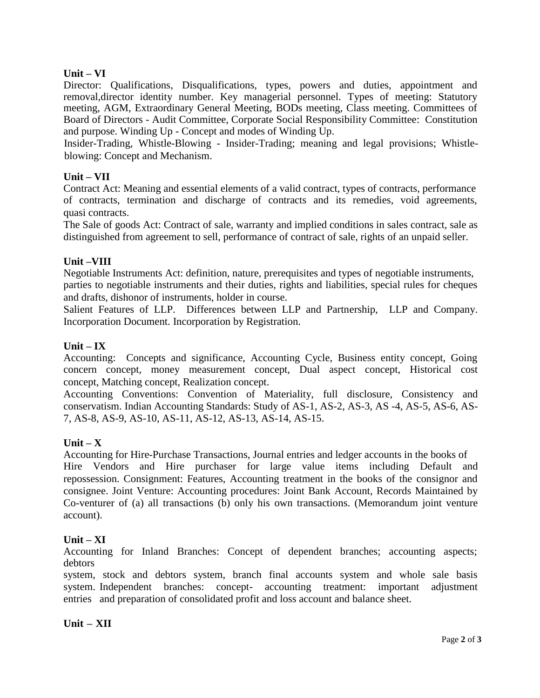## **Unit – VI**

Director: Qualifications, Disqualifications, types, powers and duties, appointment and removal,director identity number. Key managerial personnel. Types of meeting: Statutory meeting, AGM, Extraordinary General Meeting, BODs meeting, Class meeting. Committees of Board of Directors - Audit Committee, Corporate Social Responsibility Committee: Constitution and purpose. Winding Up - Concept and modes of Winding Up.

Insider-Trading, Whistle-Blowing - Insider-Trading; meaning and legal provisions; Whistleblowing: Concept and Mechanism.

## **Unit – VII**

Contract Act: Meaning and essential elements of a valid contract, types of contracts, performance of contracts, termination and discharge of contracts and its remedies, void agreements, quasi contracts.

The Sale of goods Act: Contract of sale, warranty and implied conditions in sales contract, sale as distinguished from agreement to sell, performance of contract of sale, rights of an unpaid seller.

## **Unit –VIII**

Negotiable Instruments Act: definition, nature, prerequisites and types of negotiable instruments, parties to negotiable instruments and their duties, rights and liabilities, special rules for cheques and drafts, dishonor of instruments, holder in course.

Salient Features of LLP. Differences between LLP and Partnership, LLP and Company. Incorporation Document. Incorporation by Registration.

## **Unit – IX**

Accounting: Concepts and significance, Accounting Cycle, Business entity concept, Going concern concept, money measurement concept, Dual aspect concept, Historical cost concept, Matching concept, Realization concept.

Accounting Conventions: Convention of Materiality, full disclosure, Consistency and conservatism. Indian Accounting Standards: Study of AS-1, AS-2, AS-3, AS -4, AS-5, AS-6, AS-7, AS-8, AS-9, AS-10, AS-11, AS-12, AS-13, AS-14, AS-15.

## $Unit - X$

Accounting for Hire-Purchase Transactions, Journal entries and ledger accounts in the books of Hire Vendors and Hire purchaser for large value items including Default and repossession. Consignment: Features, Accounting treatment in the books of the consignor and consignee. Joint Venture: Accounting procedures: Joint Bank Account, Records Maintained by Co-venturer of (a) all transactions (b) only his own transactions. (Memorandum joint venture account).

## **Unit – XI**

Accounting for Inland Branches: Concept of dependent branches; accounting aspects; debtors

system, stock and debtors system, branch final accounts system and whole sale basis system. Independent branches: concept- accounting treatment: important adjustment entries and preparation of consolidated profit and loss account and balance sheet.

## **Unit – XII**